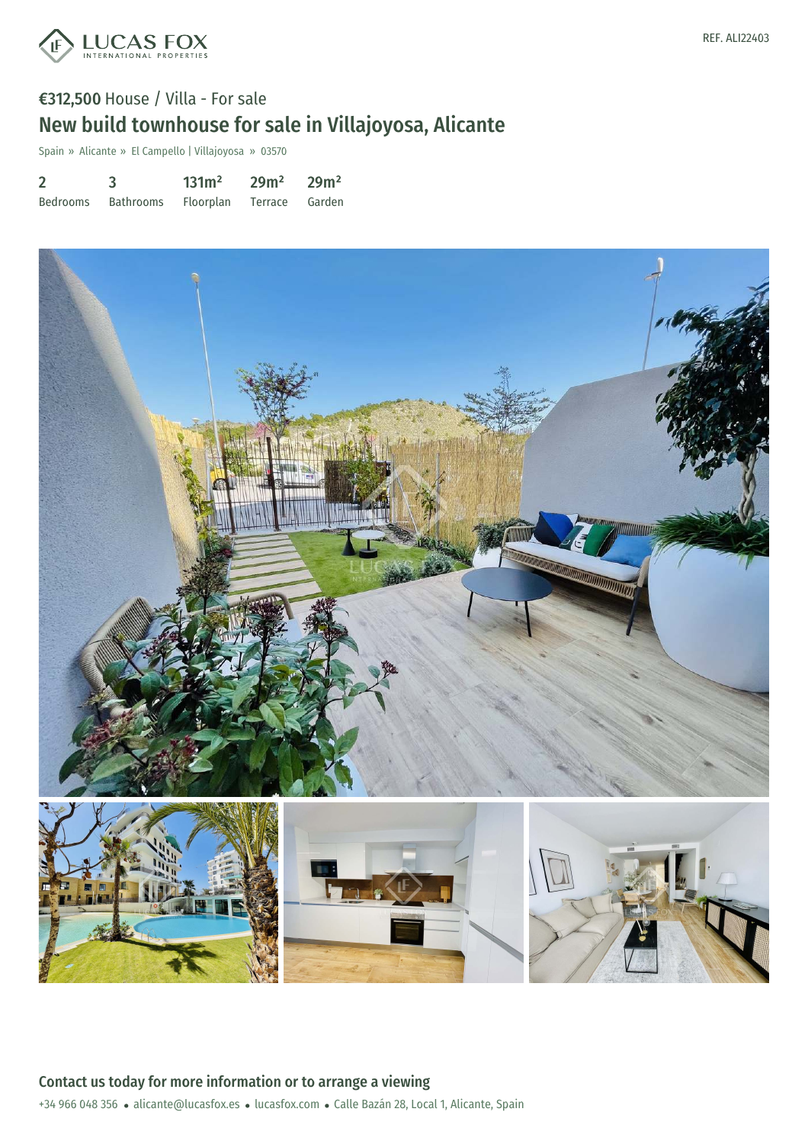

Spain » Alicante » El Campello | Villajoyosa » 03570

| $\overline{2}$ |           | 131m <sup>2</sup>        | $29m^2$ $29m^2$ |  |
|----------------|-----------|--------------------------|-----------------|--|
| Bedrooms       | Bathrooms | Floorplan Terrace Garden |                 |  |

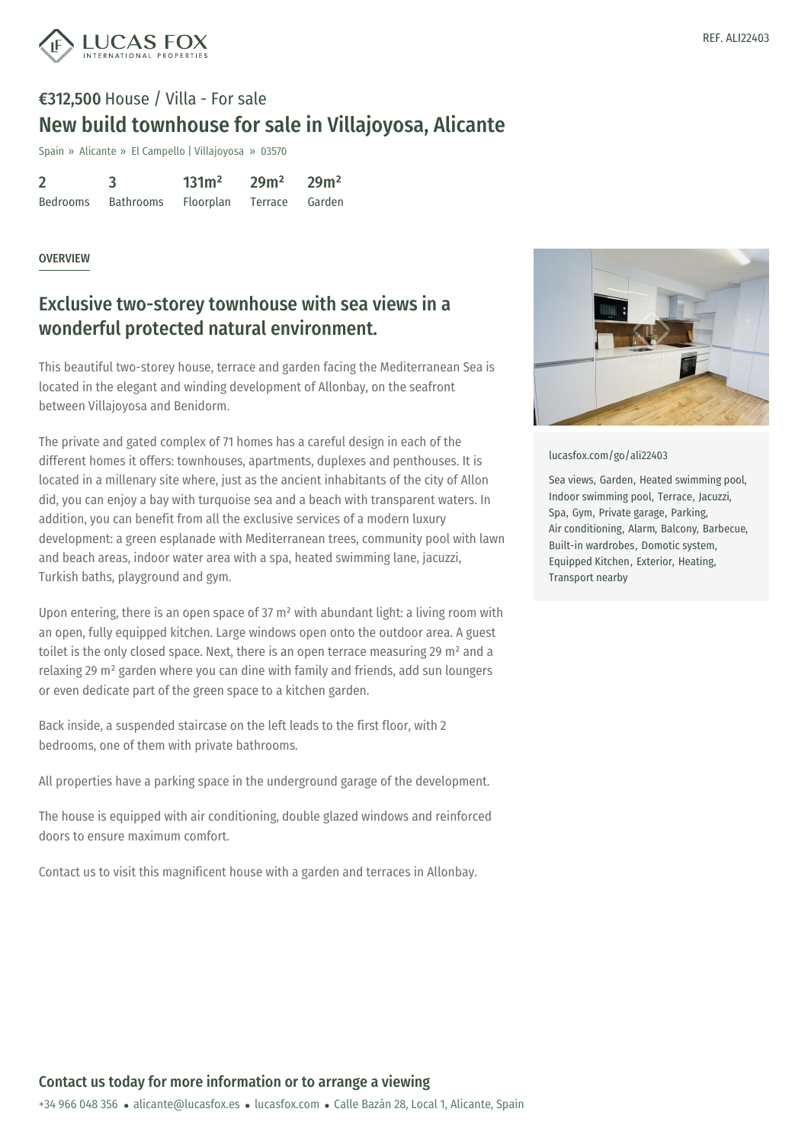

## €312,500 House / Villa - For sale New build townhouse for sale in Villajoyosa, Alicante

Spain » Alicante » El Campello | Villajoyosa » 03570

| $\overline{2}$ |           | 131m <sup>2</sup> | 29m <sup>2</sup> | 29m <sup>2</sup> |
|----------------|-----------|-------------------|------------------|------------------|
| Bedrooms       | Bathrooms | Floorplan         | Terrace          | Garden           |

## OVERVIEW

## Exclusive two-storey townhouse with sea views in a wonderful protected natural environment.

This beautiful two-storey house, terrace and garden facing the Mediterranean Sea is located in the elegant and winding development of Allonbay, on the seafront between Villajoyosa and Benidorm.

The private and gated complex of 71 homes has a careful design in each of the different homes it offers: townhouses, apartments, duplexes and penthouses. It is located in a millenary site where, just as the ancient inhabitants of the city of Allon did, you can enjoy a bay with turquoise sea and a beach with transparent waters. In addition, you can benefit from all the exclusive services of a modern luxury development: a green esplanade with Mediterranean trees, community pool with lawn and beach areas, indoor water area with a spa, heated swimming lane, jacuzzi, Turkish baths, playground and gym.

Upon entering, there is an open space of 37  $m<sup>2</sup>$  with abundant light: a living room with an open, fully equipped kitchen. Large windows open onto the outdoor area. A guest toilet is the only closed space. Next, there is an open terrace measuring 29 m² and a relaxing 29 m² garden where you can dine with family and friends, add sun loungers or even dedicate part of the green space to a kitchen garden.

Back inside, a suspended staircase on the left leads to the first floor, with 2 bedrooms, one of them with private bathrooms.

All properties have a parking space in the underground garage of the development.

The house is equipped with air conditioning, double glazed windows and reinforced doors to ensure maximum comfort.

Contact us to visit this magnificent house with a garden and terraces in Allonbay.



[lucasfox.com/go/ali22403](https://www.lucasfox.com/go/ali22403)

Sea views, Garden, Heated swimming pool, Indoor swimming pool, Terrace, Jacuzzi, Spa, Gym, Private garage, Parking, Air conditioning, Alarm, Balcony, Barbecue, Built-in wardrobes, Domotic system, Equipped Kitchen, Exterior, Heating, Transport nearby